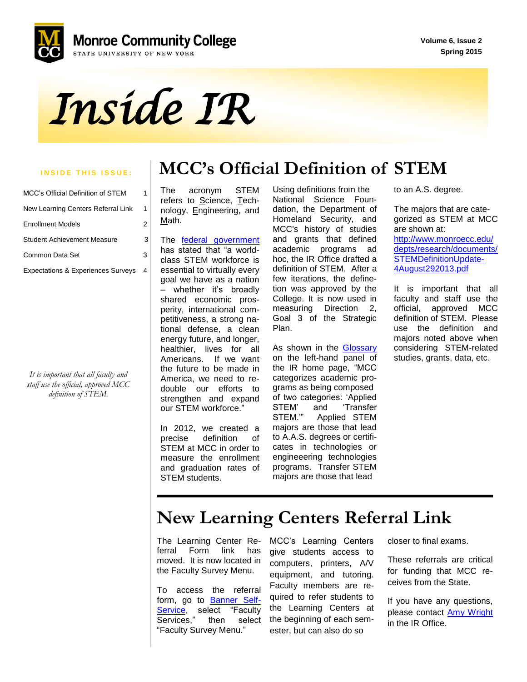**Volume 6, Issue 2 Spring 2015**





| MCC's Official Definition of STEM             |   |  |
|-----------------------------------------------|---|--|
| New Learning Centers Referral Link            | 1 |  |
| <b>Enrollment Models</b>                      | 2 |  |
| <b>Student Achievement Measure</b>            | 3 |  |
| Common Data Set                               |   |  |
| <b>Expectations &amp; Experiences Surveys</b> | 4 |  |

*It is important that all faculty and staff use the official, approved MCC definition of STEM.* 

# **INSIDE THIS ISSUE:** MCC's Official Definition of STEM

The acronym STEM refers to Science, Technology, Engineering, and Math.

 has stated that "a world-The [federal government](http://www.whitehouse.gov/blog/2012/07/18/president-obama-announces-new-plan-create-stem-master-teaching-corps) class STEM workforce is essential to virtually every goal we have as a nation – whether it's broadly shared economic prosperity, international competitiveness, a strong national defense, a clean energy future, and longer, healthier, lives for all Americans. If we want the future to be made in America, we need to redouble our efforts to strengthen and expand our STEM workforce."

In 2012, we created a precise definition of STEM at MCC in order to measure the enrollment and graduation rates of STEM students.

Using definitions from the National Science Foundation, the Department of Homeland Security, and MCC's history of studies and grants that defined academic programs ad hoc, the IR Office drafted a definition of STEM. After a few iterations, the definetion was approved by the College. It is now used in measuring Direction 2, Goal 3 of the Strategic Plan.

As shown in the [Glossary](http://www.monroecc.edu/depts/research/glossary.htm) on the left-hand panel of the IR home page, "MCC categorizes academic programs as being composed of two categories: 'Applied STEM' and 'Transfer STEM.'" Applied STEM majors are those that lead to A.A.S. degrees or certificates in technologies or engineeering technologies programs. Transfer STEM majors are those that lead

to an A.S. degree.

The majors that are categorized as STEM at MCC are shown at: [http://www.monroecc.edu/](http://www.monroecc.edu/depts/research/documents/STEMDefinitionUpdate-4August292013.pdf) [depts/research/documents/](http://www.monroecc.edu/depts/research/documents/STEMDefinitionUpdate-4August292013.pdf) [STEMDefinitionUpdate-](http://www.monroecc.edu/depts/research/documents/STEMDefinitionUpdate-4August292013.pdf)[4August292013.pdf](http://www.monroecc.edu/depts/research/documents/STEMDefinitionUpdate-4August292013.pdf)

It is important that all faculty and staff use the official, approved MCC definition of STEM. Please use the definition and majors noted above when considering STEM-related studies, grants, data, etc.

### **New Learning Centers Referral Link**

The Learning Center Referral Form link has moved. It is now located in the Faculty Survey Menu.

To access the referral form, go to [Banner Self-](https://secure.monroecc.edu/pls/bpr1/twbkwbis.P_WWWLogin)[Service,](https://secure.monroecc.edu/pls/bpr1/twbkwbis.P_WWWLogin) select "Faculty Services," then select "Faculty Survey Menu."

MCC's Learning Centers give students access to computers, printers, A/V equipment, and tutoring. Faculty members are required to refer students to the Learning Centers at the beginning of each semester, but can also do so

closer to final exams.

These referrals are critical for funding that MCC receives from the State.

If you have any questions, please contact [Amy Wright](http://www.monroecc.edu/etsdbs/staffdir.nsf/8b2f401dc1d971da85257beb006efb34/421c4f7744e7b1d785256da90062b7a9?OpenDocument) in the IR Office.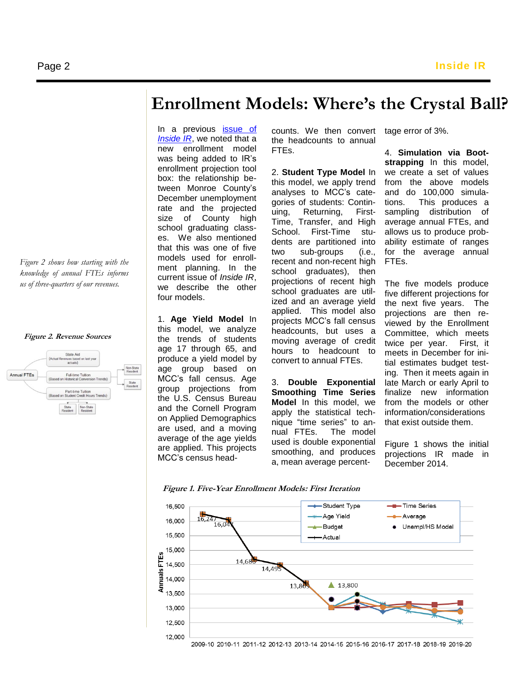**Enrollment Models: Where's the Crystal Ball?**

In a previous [issue of](http://www.monroecc.edu/depts/research/documents/spring2012irnewsletter.pdf)  *[Inside IR](http://www.monroecc.edu/depts/research/documents/spring2012irnewsletter.pdf)*, we noted that a new enrollment model was being added to IR's enrollment projection tool box: the relationship between Monroe County's December unemployment rate and the projected size of County high school graduating classes. We also mentioned that this was one of five models used for enrollment planning. In the current issue of *Inside IR*, we describe the other four models.

1. **Age Yield Model** In this model, we analyze the trends of students age 17 through 65, and produce a yield model by age group based on MCC's fall census. Age group projections from the U.S. Census Bureau and the Cornell Program on Applied Demographics are used, and a moving average of the age yields are applied. This projects MCC's census head-

counts. We then convert the headcounts to annual FTEs.

2. **Student Type Model** In this model, we apply trend analyses to MCC's categories of students: Continuing, Returning, First-Time, Transfer, and High School. First-Time students are partitioned into two sub-groups (i.e., recent and non-recent high school graduates), then projections of recent high school graduates are utilized and an average yield applied. This model also projects MCC's fall census headcounts, but uses a moving average of credit hours to headcount to convert to annual FTEs.

3. **Double Exponential Smoothing Time Series Model** In this model, we apply the statistical technique "time series" to annual FTEs. The model used is double exponential smoothing, and produces a, mean average percenttage error of 3%.

4. **Simulation via Bootstrapping** In this model, we create a set of values from the above models and do 100,000 simulations. This produces a sampling distribution of average annual FTEs, and allows us to produce probability estimate of ranges for the average annual FTEs.

The five models produce five different projections for the next five years. The projections are then reviewed by the Enrollment Committee, which meets twice per year. First, it meets in December for initial estimates budget testing. Then it meets again in late March or early April to finalize new information from the models or other information/considerations that exist outside them.

Figure 1 shows the initial projections IR made in December 2014.

**Figure 1. Five-Year Enrollment Models: First Iteration**



*Figure 2 shows how starting with the* 

*knowledge of annual FTEs informs us of three-quarters of our revenues.* 

### **Figure 2. Revenue Sources**

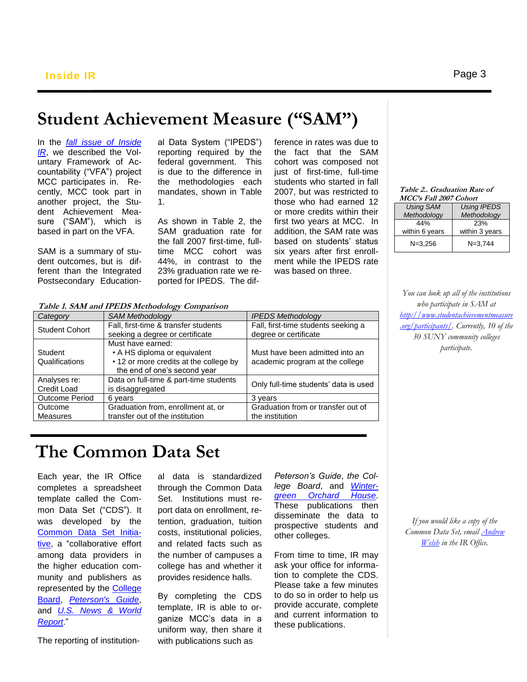# **Student Achievement Measure ("SAM")**

In the *[fall issue of Inside](http://www.monroecc.edu/depts/research/documents/Fall2014InsideIRNewsletter.pdf)  [IR](http://www.monroecc.edu/depts/research/documents/Fall2014InsideIRNewsletter.pdf)*, we described the Voluntary Framework of Accountability ("VFA") project MCC participates in. Recently, MCC took part in another project, the Student Achievement Measure ("SAM"), which is based in part on the VFA.

SAM is a summary of student outcomes, but is different than the Integrated Postsecondary Educational Data System ("IPEDS") reporting required by the federal government. This is due to the difference in the methodologies each mandates, shown in Table 1.

As shown in Table 2, the SAM graduation rate for the fall 2007 first-time, fulltime MCC cohort was 44%, in contrast to the 23% graduation rate we reported for IPEDS. The difference in rates was due to the fact that the SAM cohort was composed not just of first-time, full-time students who started in fall 2007, but was restricted to those who had earned 12 or more credits within their first two years at MCC. In addition, the SAM rate was based on students' status six years after first enrollment while the IPEDS rate was based on three.

### **Table 2.. Graduation Rate of MCC's Fall 2007 Cohort**

| <b>Using SAM</b> |  | <b>Using IPEDS</b> |
|------------------|--|--------------------|
| Methodology      |  | Methodology        |
| 44%              |  | 23%                |
| within 6 years   |  | within 3 years     |
| $N = 3.256$      |  | $N = 3.744$        |

*You can look up all of the institutions who participate in SAM at [http://www.studentachievementmeasure](http://www.studentachievementmeasure.org/participants/) [.org/participants/.](http://www.studentachievementmeasure.org/participants/) Currently, 10 of the 30 SUNY community colleges participate.*

**Table 1. SAM and IPEDS Methodology Comparison** 

| Category              | <b>SAM Methodology</b>                 | <b>IPEDS Methodology</b>              |
|-----------------------|----------------------------------------|---------------------------------------|
| <b>Student Cohort</b> | Fall, first-time & transfer students   | Fall, first-time students seeking a   |
|                       | seeking a degree or certificate        | degree or certificate                 |
|                       | Must have earned:                      |                                       |
| Student               | • A HS diploma or equivalent           | Must have been admitted into an       |
| Qualifications        | • 12 or more credits at the college by | academic program at the college       |
|                       | the end of one's second year           |                                       |
| Analyses re:          | Data on full-time & part-time students | Only full-time students' data is used |
| Credit Load           | is disaggregated                       |                                       |
| Outcome Period        | 6 years                                | 3 years                               |
| Outcome               | Graduation from, enrollment at, or     | Graduation from or transfer out of    |
| Measures              | transfer out of the institution        | the institution                       |
|                       |                                        |                                       |

# **The Common Data Set**

*tive*, a "collaborative effort [Board,](https://www.collegeboard.org/) *[Peterson's Guide](http://www.petersons.com/)*, Each year, the IR Office completes a spreadsheet template called the Common Data Set ("CDS"). It was developed by the [Common Data Set Initia](http://www.commondataset.org/)among data providers in the higher education community and publishers as represented by the [College](https://www.collegeboard.org/)  and *[U.S. News & World](http://www.usnews.com/)  [Report](http://www.usnews.com/)*."

al data is standardized through the Common Data Set. Institutions must report data on enrollment, retention, graduation, tuition costs, institutional policies, and related facts such as the number of campuses a college has and whether it provides residence halls.

By completing the CDS template, IR is able to organize MCC's data in a uniform way, then share it with publications such as

*Peterson's Guide*, *the College Board*, and *[Winter](http://www.wintergreenorchardhouse.com/)[green Orchard House](http://www.wintergreenorchardhouse.com/)*. These publications then disseminate the data to prospective students and other colleges.

From time to time, IR may ask your office for information to complete the CDS. Please take a few minutes to do so in order to help us provide accurate, complete and current information to these publications.

*If you would like a copy of the Common Data Set, email [Andrew](mailto:awelsh4@monroecc.edu)  [Welsh](mailto:awelsh4@monroecc.edu) in the IR Office.*

The reporting of institution-